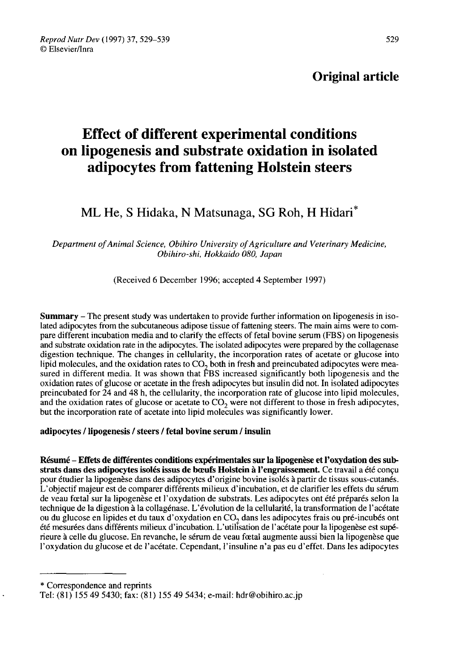# Original article

# Effect of different experimental conditions on lipogenesis and substrate oxidation in isolated adipocytes from fattening Holstein steers

# ML He, S Hidaka, N Matsunaga, SG Roh, H Hidari\*

Department of Animal Science, Obihiro University of Agriculture and Veterinary Medicine, Obihiro-shi, Hokkaido 080, Japan

(Received 6 December 1996; accepted 4 September 1997)

**Summary** – The present study was undertaken to provide further information on lipogenesis in isolated adipocytes from the subcutaneous adipose tissue of fattening steers. The main aims were to compare different incubation media and to clarify the effects of fetal bovine serum (FBS) on lipogenesis and substrate oxidation rate in the adipocytes. The isolated adipocytes were prepared by the collagenase digestion technique. The changes in cellularity, the incorporation rates of acetate or glucose into lipid molecules, and the oxidation rates to  $CO<sub>2</sub>$  both in fresh and preincubated adipocytes were measured in different media. It was shown that FBS increased significantly both lipogenesis and the oxidation rates of glucose or acetate in the fresh adipocytes but insulin did not. In isolated adipocytes preincubated for 24 and 48 h, the cellularity, the incorporation rate of glucose into lipid molecules, and the oxidation rates of glucose or acetate to  $CO<sub>2</sub>$  were not different to those in fresh adipocytes, but the incorporation rate of acetate into lipid molecules was significantly lower.

adipocytes / lipogenesis / steers / fetal bovine serum / insulin

Résumé - Effets de différentes conditions expérimentales sur la lipogenèse et l'oxydation des substrats dans des adipocytes isolés issus de bœufs Holstein à l'engraissement. Ce travail a été conçu pour étudier la lipogenèse dans des adipocytes d'origine bovine isolés à partir de tissus sous-cutanés. L'objectif majeur est de comparer différents milieux d'incubation, et de clarifier les effets du sérum de veau foetal sur la lipogenèse et l'oxydation de substrats. Les adipocytes ont été préparés selon la technique de la digestion à la collagénase. L'évolution de la cellularité, la transformation de l'acétate<br>ou du glucose en lipides et du taux d'oxydation en CO<sub>2</sub> dans les adipocytes frais ou pré-incubés ont<br>été mesurées d été mesurées dans différents milieux d'incubation. L'utilisation de l'acétate pour la lipogenèse est supérieure à celle du glucose. En revanche, le sérum de veau foetal augmente aussi bien la lipogenèse que l'oxydation du glucose et de l'acétate. Cependant, l'insuline n'a pas eu d'effet. Dans les adipocytes

\* Correspondence and reprints

Tel: (81) I55 49 5430; fax: (81 ) 155 49 5434; e-mail: hdr@obihiro.ac.jp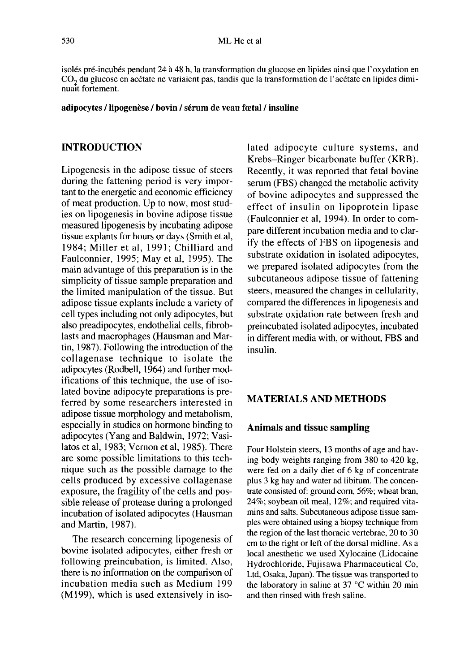isolés pré-incubés pendant 24 à 48 h, la transformation du glucose en lipides ainsi que l'oxydation en CO<sub>2</sub> du glucose en acétate ne variaient pas, tandis que la transformation de l'acétate en lipides diminuait fortement.

#### adipocytes / lipogenèse / bovin / sérum de veau foetal / insuline

# INTRODUCTION

Lipogenesis in the adipose tissue of steers during the fattening period is very impor tant to the energetic and economic efficiency of meat production. Up to now, most studies on lipogenesis in bovine adipose tissue measured lipogenesis by incubating adipose tissue explants for hours or days (Smith et al, 1984; Miller et al, 1991; Chilliard and Faulconnier, 1995; May et al, 1995). The main advantage of this preparation is in the simplicity of tissue sample preparation and the limited manipulation of the tissue. But adipose tissue explants include a variety of cell types including not only adipocytes, but also preadipocytes, endothelial cells, fibroblasts and macrophages (Hausman and Martin, 1987). Following the introduction of the collagenase technique to isolate the adipocytes (Rodbell, 1964) and further modifications of this technique, the use of isolated bovine adipocyte preparations is preferred by some researchers interested in adipose tissue morphology and metabolism, especially in studies on hormone binding to adipocytes (Yang and Baldwin, 1972; Vasilatos et al, 1983; Vernon et al, 1985). There are some possible limitations to this technique such as the possible damage to the cells produced by excessive collagenase exposure, the fragility of the cells and possible release of protease during a prolonged incubation of isolated adipocytes (Hausman and Martin, 1987).

The research concerning lipogenesis of bovine isolated adipocytes, either fresh or following preincubation, is limited. Also, there is no information on the comparison of incubation media such as Medium 199 (M199), which is used extensively in isolated adipocyte culture systems, and Krebs-Ringer bicarbonate buffer (KRB). Recently, it was reported that fetal bovine serum (FBS) changed the metabolic activity of bovine adipocytes and suppressed the effect of insulin on lipoprotein lipase (Faulconnier et al, 1994). In order to compare different incubation media and to clarify the effects of FBS on lipogenesis and substrate oxidation in isolated adipocytes, we prepared isolated adipocytes from the subcutaneous adipose tissue of fattening steers, measured the changes in cellularity, compared the differences in lipogenesis and substrate oxidation rate between fresh and preincubated isolated adipocytes, incubated in different media with, or without, FBS and insulin.

## MATERIALS AND METHODS

#### Animals and tissue sampling

Four Holstein steers, 13 months of age and having body weights ranging from 380 to 420 kg, were fed on a daily diet of 6 kg of concentrate plus 3 kg hay and water ad libitum. The concentrate consisted of: ground corn, 56%; wheat bran, 24%; soybean oil meal, 12%; and required vitamins and salts. Subcutaneous adipose tissue samples were obtained using a biopsy technique from the region of the last thoracic vertebrae, 20 to 30 cm to the right or left of the dorsal midline. As a local anesthetic we used Xylocaine (Lidocaine Hydrochloride, Fujisawa Pharmaceutical Co, Ltd, Osaka, Japan). The tissue was transported to the laboratory in saline at 37 °C within 20 min and then rinsed with fresh saline.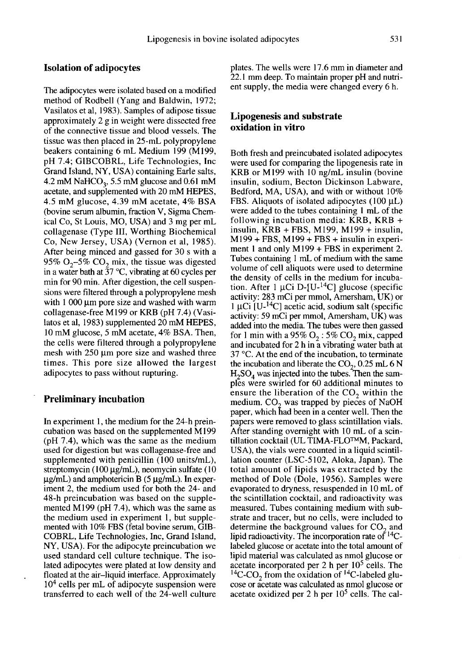#### Isolation of adipocytes

The adipocytes were isolated based on a modified method of Rodbell (Yang and Baldwin, 1972; Vasilatos et al, 1983). Samples of adipose tissue approximately 2 g in weight were dissected free of the connective tissue and blood vessels. The tissue was then placed in 25-mL polypropylene beakers containing 6 mL Medium 199 (M199, pH 7.4; GIBCOBRL, Life Technologies, Inc Grand Island, NY, USA) containing Earle salts, 4.2 mM NaHCO<sub>3</sub>, 5.5 mM glucose and 0.61 mM acetate, and supplemented with 20 mM HEPES, 4.5 mM glucose, 4.39 mM acetate, 4% BSA (bovine serum albumin, fraction V, Sigma Chemical Co, St Louis, MO, USA) and 3 mg per mL collagenase (Type III, Worthing Biochemical Co, New Jersey, USA) (Vernon et al, 1985). After being minced and gassed for 30 s with a 95%  $O_2$ –5%  $CO_2$  mix, the tissue was digested Co, New Jersey, USA) (Vernon et al. 1985).<br>After being minced and gassed for 30 s with a<br>95% O<sub>2</sub>-5% CO<sub>2</sub> mix, the tissue was digested<br>in a water bath at  $37$  °C, vibrating at 60 cycles per min for 90 min. After digestion, the cell suspensions were filtered through a polypropylene mesh with  $1000 \mu m$  pore size and washed with warm collagenase-free M199 or KRB (pH 7.4) (Vasilatos et al, 1983) supplemented 20 mM HEPES, 10 mM glucose, 5 mM acetate, 4% BSA. Then, the cells were filtered through a polypropylene mesh with  $250 \mu m$  pore size and washed three times. This pore size allowed the largest adipocytes to pass without rupturing.

#### Preliminary incubation

In experiment 1, the medium for the 24-h preincubation was based on the supplemented M199 (pH 7.4), which was the same as the medium used for digestion but was collagenase-free and supplemented with penicillin (100 units/mL), streptomycin (100  $\mu$ g/mL), neomycin sulfate (10  $\mu$ g/mL) and amphotericin B (5  $\mu$ g/mL). In experiment 2, the medium used for both the 24- and 48-h preincubation was based on the supplemented M199 (pH 7.4), which was the same as the medium used in experiment 1, but supplemented with 10% FBS (fetal bovine serum, GIB-COBRL, Life Technologies, Inc, Grand Island, NY, USA). For the adipocyte preincubation we used standard cell culture technique. The isolated adipocytes were plated at low density and<br>floated at the air-liquid interface. Approximately  $10<sup>4</sup>$  cells per mL of adipocyte suspension were transferred to each well of the 24-well culture

plates. The wells were 17.6 mm in diameter and 22.1 mm deep. To maintain proper pH and nutrient supply, the media were changed every 6 h.

# Lipogenesis and substrate oxidation in vitro

Both fresh and preincubated isolated adipocytes were used for comparing the lipogenesis rate in KRB or M199 with 10 ng/mL insulin (bovine) insulin, sodium, Becton Dickinson Labware, Bedford, MA, USA), and with or without 10% FBS. Aliquots of isolated adipocytes (100  $\mu$ L) were added to the tubes containing 1 mL of the following incubation media: KRB, KRB + insulin,  $KRB + FBS$ ,  $M199$ ,  $M199 +$  insulin, M 199 + FBS, M 199 + FBS + insulin in experi- ment 1 and only M199 + FBS in experiment 2. Tubes containing I mL of medium with the same volume of cell aliquots were used to determine the density of cells in the medium for incubation. After 1  $\mu$ Ci D-[U-<sup>14</sup>C] glucose (specific activity: 283 mCi per mmol, Amersham, UK) or  $1 \mu$ Ci [U- $^{14}$ C] acetic acid, sodium salt (specific activity: 59 mCi per mmol, Amersham, UK) was added into the media. The tubes were then gassed for 1 min with a 95%  $O_2$ : 5% CO<sub>2</sub> mix, capped and incubated for 2 h in a vibrating water bath at 37 °C. At the end of the incubation, to terminate 37 °C. At the end of the incubation, to terminate<br>the incubation and liberate the CO<sub>2</sub>, 0.25 mL 6 N<br> $H_2SO_4$  was injected into the tubes. Then the sam-<br>ples were swirled for 60 additional minutes to ples were swirled for 60 additional minutes to ples were swirled for 60 additional minutes to<br>ensure the liberation of the  $CO_2$  within the<br>medium CO, was trapped by pieces of NaOH ensure the liberation of the  $CO_2$  within the<br>medium.  $CO_2$  was trapped by pieces of NaOH<br>paper which had been in a center well. Then the paper, which had been in a center well. Then the papers were removed to glass scintillation vials. After standing overnight with 10 mL of a scinmedium. CO<sub>2</sub> was trapped by pieces of NaOH paper, which had been in a center well. Then the papers were removed to glass scintillation vials. After standing overnight with 10 mL of a scintillation cocktail (UL TIMA-FLO<sup>TM</sup> USA), the vials were counted in a liquid scintillation counter (LSC-5102, Aloka, Japan). The total amount of lipids was extracted by the method of Dole (Dole, 1956). Samples were evaporated to dryness, resuspended in 10 mL of the scintillation cocktail, and radioactivity was measured. Tubes containing medium with substrate and tracer, but no cells, were included to determine the background values for  $CO<sub>2</sub>$  and lipid radioactivity. The incorporation rate of  $^{14}C$ labeled glucose or acetate into the total amount of lipid material was calculated as nmol glucose or lipid material was calculated as nmol glucose or acetate incorporated per 2 h per  $10^5$  cells. The  $14$ C-CO<sub>2</sub> from the oxidation of  $14$ C-labeled glucose or acetate was calculated as nmol glucose or cose or acetate was calculated as nmol glucose or acetate oxidized per 2 h per  $10<sup>5</sup>$  cells. The cal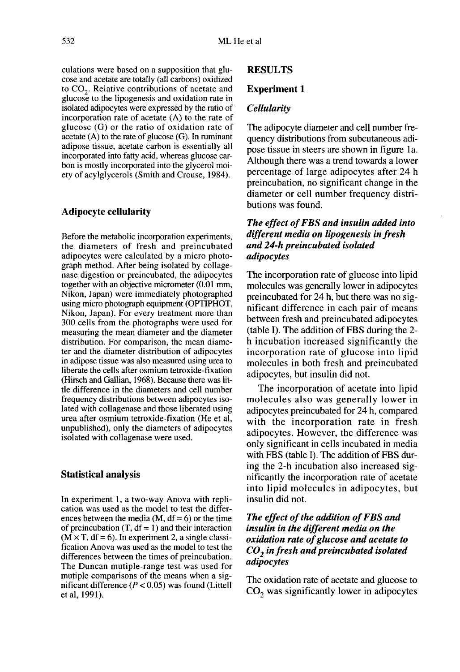culations were based on a supposition that glu cose and acetate are totally (all carbons) oxidized to  $CO<sub>2</sub>$ . Relative contributions of acetate and glucose to the lipogenesis and oxidation rate in isolated adipocytes were expressed by the ratio of incorporation rate of acetate (A) to the rate of glucose (G) or the ratio of oxidation rate of acetate  $(A)$  to the rate of glucose  $(G)$ . In ruminant adipose tissue, acetate carbon is essentially all incorporated into fatty acid, whereas glucose carbon is mostly incorporated into the glycerol moiety of acylglycerols (Smith and Crouse, 1984).

## Adipocyte cellularity

Before the metabolic incorporation experiments, the diameters of fresh and preincubated adipocytes were calculated by a micro photograph method. After being isolated by collage nase digestion or preincubated, the adipocytes together with an objective micrometer (0.01 mm, Nikon, Japan) were immediately photographed using micro photograph equipment (OPTIPHOT, Nikon, Japan). For every treatment more than 300 cells from the photographs were used for measuring the mean diameter and the diameter distribution. For comparison, the mean diameter and the diameter distribution of adipocytes in adipose tissue was also measured using urea to liberate the cells after osmium tetroxide-fixation (Hirsch and Gallian, 1968). Because there was little difference in the diameters and cell number frequency distributions between adipocytes isolated with collagenase and those liberated using urea after osmium tetroxide-fixation (He et al, unpublished), only the diameters of adipocytes isolated with collagenase were used.

#### Statistical analysis

In experiment 1, a two-way Anova with replication was used as the model to test the differences between the media  $(M, df = 6)$  or the time of preincubation  $(T, df = 1)$  and their interaction  $(M \times T, df = 6)$ . In experiment 2, a single classification Anova was used as the model to test the differences between the times of preincubation. The Duncan mutiple-range test was used for mutiple comparisons of the means when a significant difference  $(P < 0.05)$  was found (Littell et al, 1991).

# RESULTS

#### Experiment 1

#### **Cellularity**

The adipocyte diameter and cell number frequency distributions from subcutaneous adipose tissue in steers are shown in figure 1a. Although there was a trend towards a lower percentage of large adipocytes after 24 h preincubation, no significant change in the diameter or cell number frequency distributions was found.

# The effect of FBS and insulin added into different media on lipogenesis in fresh and 24-h preincubated isolated adipocytes

The incorporation rate of glucose into lipid molecules was generally lower in adipocytes preincubated for 24 h, but there was no significant difference in each pair of means between fresh and preincubated adipocytes (table I). The addition of FBS during the 2 h incubation increased significantly the incorporation rate of glucose into lipid molecules in both fresh and preincubated adipocytes, but insulin did not.

The incorporation of acetate into lipid molecules also was generally lower in adipocytes preincubated for 24 h, compared with the incorporation rate in fresh adipocytes. However, the difference was only significant in cells incubated in media with FBS (table I). The addition of FBS during the 2-h incubation also increased significantly the incorporation rate of acetate into lipid molecules in adipocytes, but insulin did not.

# The effect of the addition of FBS and insulin in the different media on the oxidation rate of glucose and acetate to  $CO<sub>2</sub>$  in fresh and preincubated isolated adipocytes

The oxidation rate of acetate and glucose to  $CO<sub>2</sub>$  was significantly lower in adipocytes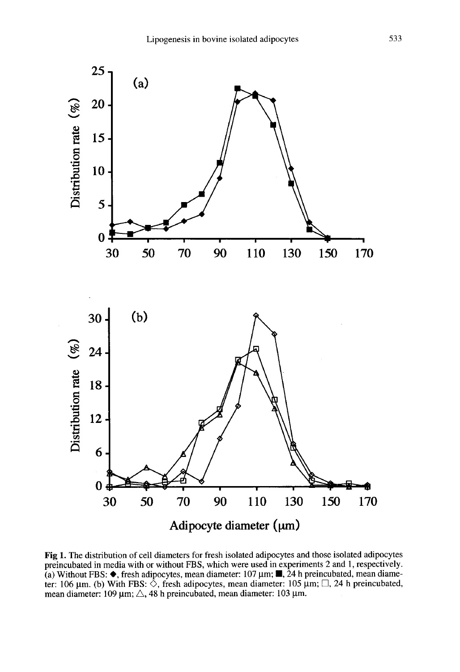

Fig 1. The distribution of cell diameters for fresh isolated adipocytes and those isolated adipocytes preincubated in media with or without FBS, which were used in experiments 2 and 1, respectively. (a) Without FBS: ♦, fresh adipocytes, mean diameter: 107 μm; ■, 24 h preincubated, mean diameter: 106 µm. (b) With FBS:  $\hat{\diamond}$ , fresh adipocytes, mean diameter: 105 µm;  $\Box$ , 24 h preincubated, mean diameter: 109  $\mu$ m;  $\triangle$ , 48 h preincubated, mean diameter: 103  $\mu$ m.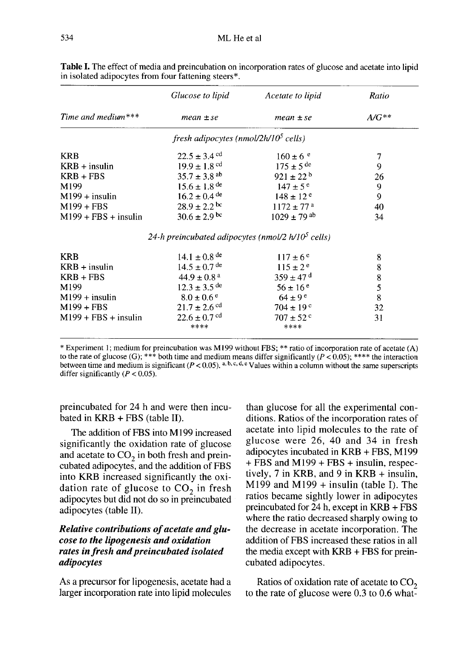|                        | Glucose to lipid                                     | Acetate to lipid           | Ratio      |  |
|------------------------|------------------------------------------------------|----------------------------|------------|--|
| Time and medium ***    | $mean \pm se$                                        | $mean \pm se$              | $A/G^{**}$ |  |
|                        | fresh adipocytes (nmol/2h/10 <sup>5</sup> cells)     |                            |            |  |
| <b>KRB</b>             | $22.5 \pm 3.4$ <sup>cd</sup>                         | $160 \pm 6$ <sup>e</sup>   | 7          |  |
| $KRB + insulin$        | $19.9 \pm 1.8$ <sup>cd</sup>                         | $175 \pm 5$ de             | 9          |  |
| $KRB + FBS$            | $35.7 \pm 3.8$ <sup>ab</sup>                         | $921 \pm 22^{b}$           | 26         |  |
| M199                   | $15.6 \pm 1.8$ <sup>de</sup>                         | $147 \pm 5^{\circ}$        | 9          |  |
| $M199 +$ insulin       | $16.2 \pm 0.4$ <sup>de</sup>                         | $148 \pm 12$ <sup>e</sup>  | 9          |  |
| $M199 + FBS$           | $28.9 \pm 2.2$ bc                                    | $1172 \pm 77$ <sup>a</sup> | 40         |  |
| $M199 + FBS + insulin$ | $30.6 \pm 2.9$ bc                                    | $1029 + 79$ <sup>ab</sup>  | 34         |  |
|                        | 24-h preincubated adipocytes (nmol/2 $h/10^5$ cells) |                            |            |  |
| <b>KRB</b>             | $14.1 \pm 0.8$ <sup>de</sup>                         | $117 \pm 6^e$              | 8          |  |
| $KRB + insulin$        | $14.5 \pm 0.7$ <sup>de</sup>                         | $115 \pm 2^e$              | 8          |  |
| $KRB + FBS$            | $44.9 \pm 0.8$ <sup>a</sup>                          | $359 \pm 47$ <sup>d</sup>  | 8          |  |
| M199                   | $12.3 \pm 3.5$ <sup>de</sup>                         | $56 \pm 16^e$              | 5          |  |
| $M199 +$ insulin       | $8.0 \pm 0.6$ <sup>e</sup>                           | $64 \pm 9^e$               | $\bf 8$    |  |
| $M199 + FBS$           | $21.7 \pm 2.6$ <sup>cd</sup>                         | $704 \pm 19$ <sup>c</sup>  | 32         |  |
| $M199 + FBS + insulin$ | $22.6 \pm 0.7$ cd<br>****                            | $707 \pm 52$ c<br>****     | 31         |  |

Table I. The effect of media and preincubation on incorporation rates of glucose and acetate into lipid in isolated adipocytes from four fattening steers\*.

\* Experiment 1; medium for preincubation was M199 without FBS; \*\* ratio of incorporation rate of acetate (A) to the rate of glucose (G); \*\*\* both time and medium means differ significantly ( $P < 0.05$ ); \*\*\*\* the interaction between time and medium is significant ( $P < 0.05$ ), a, b, c, d, e Values within a column without the same superscripts differ significantly  $(P < 0.05)$ .

preincubated for 24 h and were then incubated in KRB + FBS (table II).

The addition of FBS into M199 increased significantly the oxidation rate of glucose<br>and acetate to  $CO_2$  in both fresh and prein-<br>cubated adipocytes and the addition of EBS cubated adipocytes, and the addition of FBS into KRB increased significantly the oxidation rate of glucose to  $CO<sub>2</sub>$  in fresh adipocytes but did not do so in preincubated adipocytes (table II).

# Relative contributions of acetate and glucose to the lipogenesis and oxidation rates in fresh and preincubated isolated adipocytes

As a precursor for lipogenesis, acetate had a larger incorporation rate into lipid molecules

than glucose for all the experimental conditions. Ratios of the incorporation rates of acetate into lipid molecules to the rate of glucose were 26, 40 and 34 in fresh adipocytes incubated in KRB + FBS, M199 + FBS and M199 + FBS + insulin, respectively, 7 in KRB, and 9 in KRB + insulin, M199 and M199 + insulin (table I). The ratios became sightly lower in adipocytes preincubated for 24 h, except in KRB + FBS where the ratio decreased sharply owing to the decrease in acetate incorporation. The addition of FBS increased these ratios in all the media except with KRB + FBS for preincubated adipocytes.

Ratios of oxidation rate of acetate to  $CO<sub>2</sub>$  to the rate of glucose were 0.3 to 0.6 what-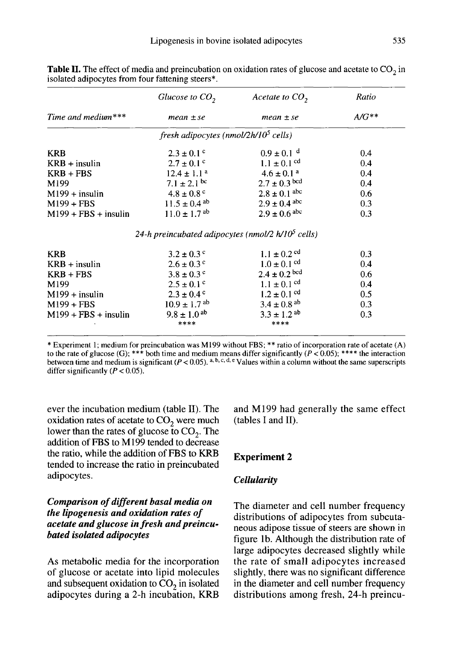|                                                      | Glucose to $CO2$             | Acetate to $CO2$                    | Ratio      |  |  |  |  |  |
|------------------------------------------------------|------------------------------|-------------------------------------|------------|--|--|--|--|--|
| Time and medium***<br>$mean \pm se$                  |                              | $mean \pm se$                       | $A/G^{**}$ |  |  |  |  |  |
| fresh adipocytes (nmol/2h/10 <sup>5</sup> cells)     |                              |                                     |            |  |  |  |  |  |
| <b>KRB</b>                                           | $2.3 \pm 0.1$ c              | $0.9 \pm 0.1$ <sup>d</sup>          | 0.4        |  |  |  |  |  |
| $KRB + insulin$                                      | $2.7 \pm 0.1$ c              | $1.1 \pm 0.1$ <sup>cd</sup>         | 0.4        |  |  |  |  |  |
| $KRB + FBS$                                          | $12.4 \pm 1.1$ <sup>a</sup>  | $4.6 \pm 0.1$ <sup>a</sup>          | 0.4        |  |  |  |  |  |
| M199                                                 | $7.1 \pm 2.1$ bc             | $2.7 \pm 0.3$ bcd                   | 0.4        |  |  |  |  |  |
| $M199 +$ insulin                                     | $4.8 \pm 0.8$ c              | $2.8 \pm 0.1$ abc                   | 0.6        |  |  |  |  |  |
| $M199 + FBS$                                         | $11.5 \pm 0.4$ <sup>ab</sup> | $2.9 \pm 0.4$ abc                   | 0.3        |  |  |  |  |  |
| $M199 + FBS + insulin$                               | $11.0 \pm 1.7$ <sup>ab</sup> | $2.9 \pm 0.6$ abc                   | 0.3        |  |  |  |  |  |
| 24-h preincubated adipocytes (nmol/2 $h/10^5$ cells) |                              |                                     |            |  |  |  |  |  |
| <b>KRB</b>                                           | $3.2 \pm 0.3$ °              | $1.1 \pm 0.2$ <sup>cd</sup>         | 0.3        |  |  |  |  |  |
| $KRB + insulin$                                      | $2.6 \pm 0.3$ °              | $1.0 \pm 0.1$ <sup>cd</sup>         | 0.4        |  |  |  |  |  |
| $KRB + FBS$                                          | $3.8 \pm 0.3$ °              | $2.4 \pm 0.2$ bcd                   | 0.6        |  |  |  |  |  |
| M199                                                 | $2.5 \pm 0.1$ c              | $1.1 \pm 0.1$ <sup>cd</sup>         | 0.4        |  |  |  |  |  |
| $M199 +$ insulin                                     | $2.3 \pm 0.4$ c              | $1.2 \pm 0.1$ <sup>cd</sup>         | 0.5        |  |  |  |  |  |
| $M199 + FBS$                                         | $10.9 \pm 1.7$ <sup>ab</sup> | $3.4 \pm 0.8$ <sup>ab</sup>         | 0.3        |  |  |  |  |  |
| $M199 + FBS + insulin$                               | $9.8 \pm 1.0^{ab}$<br>****   | $3.3 \pm 1.2$ <sup>ab</sup><br>**** | 0.3        |  |  |  |  |  |

**Table II.** The effect of media and preincubation on oxidation rates of glucose and acetate to  $CO<sub>2</sub>$  in isolated adipocytes from four fattening steers\*.

\* Experiment 1; medium for preincubation was M199 without FBS; \*\* ratio of incorporation rate of acetate (A) to the rate of glucose (G); \*\*\* both time and medium means differ significantly ( $P < 0.05$ ); \*\*\*\* the interaction between time and medium is significant ( $P < 0.05$ ). a.b.c.d.e Values within a column without the same superscripts differ significantly  $(P < 0.05)$ .

ever the incubation medium (table II). The ever the incubation medium (table II). The oxidation rates of acetate to  $CO_2$  were much lower than the rates of glucose to  $CO_2$ . The addition of FBS to M199 tended to decrease addition of FBS to M199 tended to decrease the ratio, while the addition of FBS to KRB tended to increase the ratio in preincubated adipocytes.

# Comparison of different basal media on the lipogenesis and oxidation rates of acetate and glucose in fresh and preincubated isolated adipocytes

As metabolic media for the incorporation of glucose or acetate into lipid molecules and subsequent oxidation to  $CO<sub>2</sub>$  in isolated adipocytes during a 2-h incubation, KRB

and M199 had generally the same effect (tables I and II).

#### Experiment 2

#### **Cellularity**

The diameter and cell number frequency distributions of adipocytes from subcutaneous adipose tissue of steers are shown in figure lb. Although the distribution rate of large adipocytes decreased slightly while the rate of small adipocytes increased slightly, there was no significant difference in the diameter and cell number frequency distributions among fresh, 24-h preincu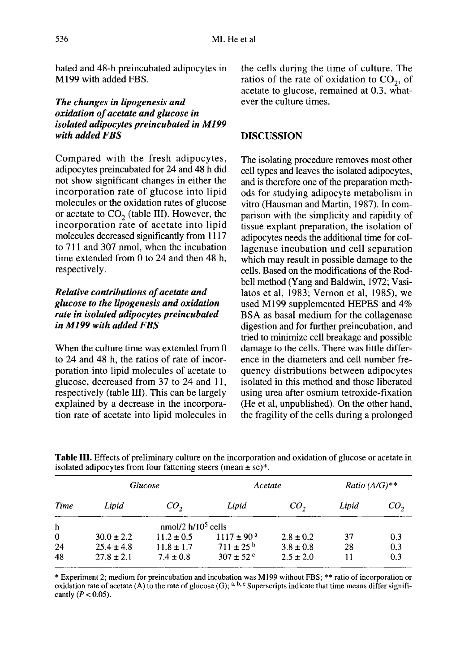bated and 48-h preincubated adipocytes in M199 with added FBS.

# The changes in lipogenesis and oxidation of acetate and glucose in isolated adipocytes preincubated in M199 with added FRS

Compared with the fresh adipocytes, adipocytes preincubated for 24 and 48 h did not show significant changes in either the incorporation rate of glucose into lipid or acetate to  $CO<sub>2</sub>$  (table III). However, the incorporation rate of acetate into lipid molecules decreased significantly from 1117 to 711 and 307 nmol, when the incubation time extended from 0 to 24 and then 48 h, respectively.

# Relative contributions of acetate and glucose to the lipogenesis and oxidation rate in isolated adipocytes preincubated in M199 with added FBS

When the culture time was extended from 0 to 24 and 48 h, the ratios of rate of incorporation into lipid molecules of acetate to glucose, decreased from 37 to 24 and 11, respectively (table III). This can be largely explained by a decrease in the incorporation rate of acetate into lipid molecules in the cells during the time of culture. The ratios of the rate of oxidation to  $CO<sub>2</sub>$ , of acetate to glucose, remained at 0.3, whatever the culture times.

# DISCUSSION

The isolating procedure removes most other cell types and leaves the isolated adipocytes, and is therefore one of the preparation methods for studying adipocyte metabolism in vitro (Hausman and Martin, 1987). In comparison with the simplicity and rapidity of tissue explant preparation, the isolation of adipocytes needs the additional time for collagenase incubation and cell separation which may result in possible damage to the cells. Based on the modifications of the Rodbell method (Yang and Baldwin, 1972; Vasilatos et al, 1983; Vernon et al, 1985), we used M199 supplemented HEPES and 4% BSA as basal medium for the collagenase digestion and for further preincubation, and tried to minimize cell breakage and possible damage to the cells. There was little difference in the diameters and cell number frequency distributions between adipocytes isolated in this method and those liberated using urea after osmium tetroxide-fixation (He et al, unpublished). On the other hand, the fragility of the cells during a prolonged

|             | Glucose               |                 | Acetate                   |               | Ratio $(A/G)$ ** |                 |  |
|-------------|-----------------------|-----------------|---------------------------|---------------|------------------|-----------------|--|
| Time        | Lipid                 | CO <sub>2</sub> | Lipid                     | co,           | Lipid            | CO <sub>2</sub> |  |
| h           | nmol/2 $h/10^5$ cells |                 |                           |               |                  |                 |  |
| $\mathbf 0$ | $30.0 \pm 2.2$        | $11.2 \pm 0.5$  | $1117 \pm 90^{\text{ a}}$ | $2.8 \pm 0.2$ | 37               | 0.3             |  |
| 24          | $25.4 \pm 4.8$        | $11.8 \pm 1.7$  | $711 \pm 25^{\,\rm b}$    | $3.8 \pm 0.8$ | 28               | 0.3             |  |
| 48          | $27.8 \pm 2.1$        | $7.4 \pm 0.8$   | $307 \pm 52$ c            | $2.5 \pm 2.0$ | 11               | 0.3             |  |

Table III. Effects of preliminary culture on the incorporation and oxidation of glucose or acetate in isolated adipocytes from four fattening steers (mean  $\pm$  se)\*.

\* Experiment 2; medium for preincubation and incubation was M199 without FBS; \*\* ratio of incorporation or oxidation rate of acetate (A) to the rate of glucose (G); a, b, c Superscripts indicate that time means differ significantly  $(P < 0.05)$ .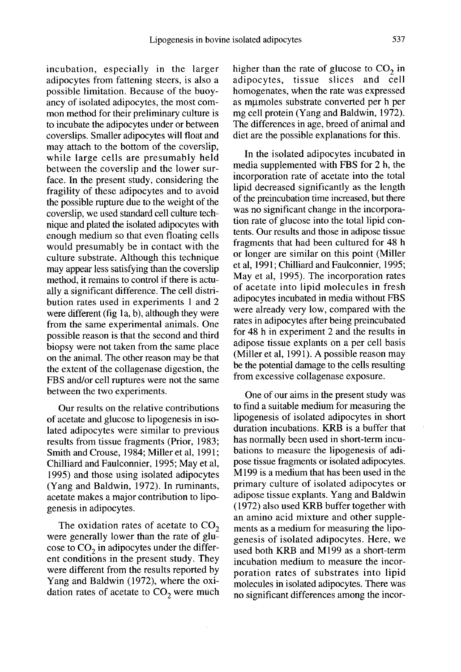incubation, especially in the larger adipocytes from fattening steers, is also a possible limitation. Because of the buoyancy of isolated adipocytes, the most common method for their preliminary culture is to incubate the adipocytes under or between coverslips. Smaller adipocytes will float and may attach to the bottom of the coverslip, while large cells are presumably held between the coverslip and the lower surface. In the present study, considering the fragility of these adipocytes and to avoid the possible rupture due to the weight of the coverslip, we used standard cell culture technique and plated the isolated adipocytes with enough medium so that even floating cells would presumably be in contact with the culture substrate. Although this technique may appear less satisfying than the coverslip method, it remains to control if there is actually a significant difference. The cell distribution rates used in experiments 1 and 2 were different (fig 1a, b), although they were from the same experimental animals. One possible reason is that the second and third biopsy were not taken from the same place on the animal. The other reason may be that the extent of the collagenase digestion, the FBS and/or cell ruptures were not the same between the two experiments.

Our results on the relative contributions of acetate and glucose to lipogenesis in isolated adipocytes were similar to previous results from tissue fragments (Prior, 1983; Smith and Crouse, 1984; Miller et al, 1991; Chilliard and Faulconnier, 1995; May et al, 1995) and those using isolated adipocytes (Yang and Baldwin, 1972). In ruminants, acetate makes a major contribution to lipogenesis in adipocytes.

The oxidation rates of acetate to  $CO_2$  were generally lower than the rate of glu-cose to  $CO_2$  in adipocytes under the different conditions in the present study. They were different from the results reported by Yang and Baldwin (1972), where the oxidation rates of acetate to  $CO<sub>2</sub>$  were much

higher than the rate of glucose to  $CO_2$  in adipocytes, tissue slices and cell homogenates, when the rate was expressed as mumoles substrate converted per h per mg cell protein (Yang and Baldwin, 1972). adipocytes, tissue slices and cell<br>homogenates, when the rate was expressed mg cell protein (Yang and Baldwin, 1972). The differences in age, breed of animal and diet are the possible explanations for this.

In the isolated adipocytes incubated in media supplemented with FBS for 2 h, the incorporation rate of acetate into the total lipid decreased significantly as the length of the preincubation time increased, but there was no significant change in the incorporation rate of glucose into the total lipid contents. Our results and those in adipose tissue fragments that had been cultured for 48 h or longer are similar on this point (Miller et al, 1991; Chilliard and Faulconnier, 1995; May et al, 1995). The incorporation rates of acetate into lipid molecules in fresh adipocytes incubated in media without FBS were already very low, compared with the rates in adipocytes after being preincubated for 48 h in experiment 2 and the results in adipose tissue explants on a per cell basis (Miller et al, 1991). A possible reason may be the potential damage to the cells resulting from excessive collagenase exposure.

One of our aims in the present study was to find a suitable medium for measuring the lipogenesis of isolated adipocytes in short duration incubations. KRB is a buffer that has normally been used in short-term incubations to measure the lipogenesis of adipose tissue fragments or isolated adipocytes. M199 is a medium that has been used in the primary culture of isolated adipocytes or adipose tissue explants. Yang and Baldwin (1972) also used KRB buffer together with an amino acid mixture and other supple ments as a medium for measuring the lipogenesis of isolated adipocytes. Here, we used both KRB and M199 as a short-term incubation medium to measure the incorporation rates of substrates into lipid molecules in isolated adipocytes. There was no significant differences among the incor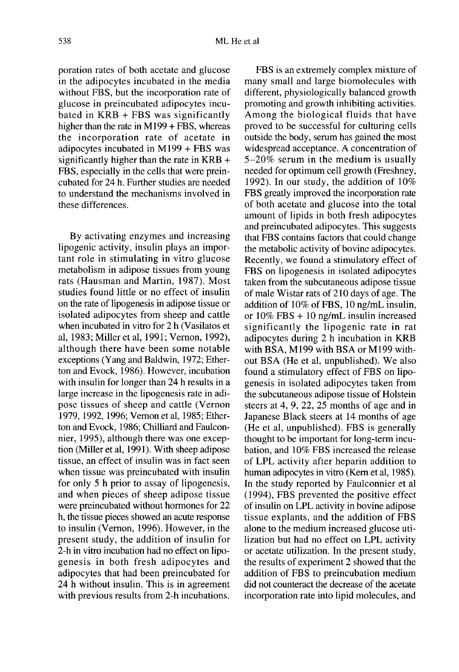poration rates of both acetate and glucose in the adipocytes incubated in the media without FBS, but the incorporation rate of glucose in preincubated adipocytes incubated in KRB + FBS was significantly higher than the rate in M199 + FBS, whereas the incorporation rate of acetate in adipocytes incubated in M199 + FBS was significantly higher than the rate in  $KRB +$ FBS, especially in the cells that were preincubated for 24 h. Further studies are needed to understand the mechanisms involved in these differences.

By activating enzymes and increasing lipogenic activity, insulin plays an impor tant role in stimulating in vitro glucose metabolism in adipose tissues from young rats (Hausman and Martin, 1987). Most studies found little or no effect of insulin on the rate of lipogenesis in adipose tissue or isolated adipocytes from sheep and cattle when incubated in vitro for 2 h (Vasilatos et al, 1983; Miller et al, 1991; Vernon, 1992), although there have been some notable exceptions (Yang and Baldwin, 1972; Etherton and Evock, 1986). However, incubation with insulin for longer than 24 h results in a large increase in the lipogenesis rate in adipose tissues of sheep and cattle (Vernon 1979, 1992, 1996; Vernon et al, 1985; Etherton and Evock, 1986; Chilliard and Faulconnier, 1995), although there was one exception (Miller et al, 1991). With sheep adipose tissue, an effect of insulin was in fact seen when tissue was preincubated with insulin for only 5 h prior to assay of lipogenesis, and when pieces of sheep adipose tissue were preincubated without hormones for 22 h, the tissue pieces showed an acute response to insulin (Vernon, 1996). However, in the present study, the addition of insulin for 2-h in vitro incubation had no effect on lipogenesis in both fresh adipocytes and adipocytes that had been preincubated for 24 h without insulin. This is in agreement with previous results from 2-h incubations.

FBS is an extremely complex mixture of many small and large biomolecules with different, physiologically balanced growth promoting and growth inhibiting activities. Among the biological fluids that have proved to be successful for culturing cells outside the body, serum has gained the most widespread acceptance. A concentration of  $5-20\%$  serum in the medium is usually needed for optimum cell growth (Freshney, 1992). In our study, the addition of 10% FBS greatly improved the incorporation rate of both acetate and glucose into the total amount of lipids in both fresh adipocytes and preincubated adipocytes. This suggests that FBS contains factors that could change the metabolic activity of bovine adipocytes. Recently, we found a stimulatory effect of FBS on lipogenesis in isolated adipocytes taken from the subcutaneous adipose tissue of male Wistar rats of 210 days of age. The addition of 10% of FBS, 10 ng/mL insulin. or  $10\%$  FBS + 10 ng/mL insulin increased significantly the lipogenic rate in rat adipocytes during 2 h incubation in KRB with BSA, M199 with BSA or M199 without BSA (He et al, unpublished). We also found a stimulatory effect of FBS on lipogenesis in isolated adipocytes taken from the subcutaneous adipose tissue of Holstein steers at 4, 9, 22, 25 months of age and in Japanese Black steers at 14 months of age (He et al, unpublished). FBS is generally thought to be important for long-term incubation, and 10% FBS increased the release of LPL activity after heparin addition to human adipocytes in vitro (Kern et al, 1985). In the study reported by Faulconnier et al (1994), FBS prevented the positive effect of insulin on LPL activity in bovine adipose tissue explants, and the addition of FBS alone to the medium increased glucose utilization but had no effect on LPL activity or acetate utilization. In the present study, the results of experiment 2 showed that the addition of FBS to preincubation medium did not counteract the decrease of the acetate incorporation rate into lipid molecules, and